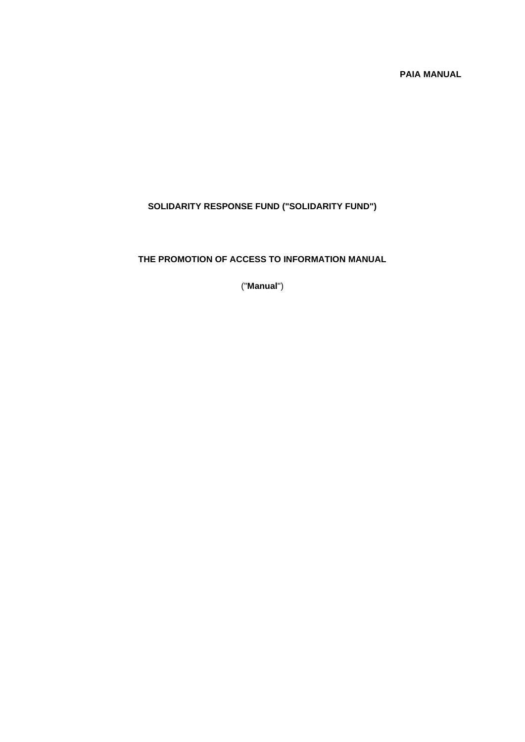# **PAIA MANUAL**

# **SOLIDARITY RESPONSE FUND ("SOLIDARITY FUND")**

#### **THE PROMOTION OF ACCESS TO INFORMATION MANUAL**

("**Manual**")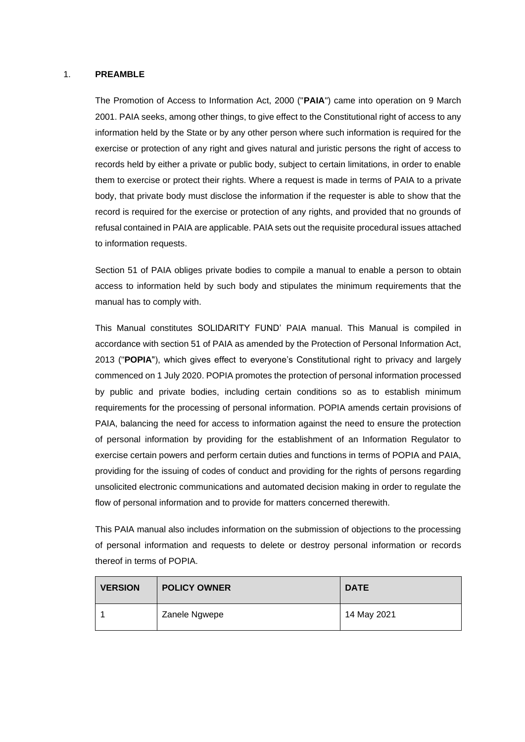#### 1. **PREAMBLE**

The Promotion of Access to Information Act, 2000 ("**PAIA**") came into operation on 9 March 2001. PAIA seeks, among other things, to give effect to the Constitutional right of access to any information held by the State or by any other person where such information is required for the exercise or protection of any right and gives natural and juristic persons the right of access to records held by either a private or public body, subject to certain limitations, in order to enable them to exercise or protect their rights. Where a request is made in terms of PAIA to a private body, that private body must disclose the information if the requester is able to show that the record is required for the exercise or protection of any rights, and provided that no grounds of refusal contained in PAIA are applicable. PAIA sets out the requisite procedural issues attached to information requests.

Section 51 of PAIA obliges private bodies to compile a manual to enable a person to obtain access to information held by such body and stipulates the minimum requirements that the manual has to comply with.

This Manual constitutes SOLIDARITY FUND' PAIA manual. This Manual is compiled in accordance with section 51 of PAIA as amended by the Protection of Personal Information Act, 2013 ("**POPIA**"), which gives effect to everyone's Constitutional right to privacy and largely commenced on 1 July 2020. POPIA promotes the protection of personal information processed by public and private bodies, including certain conditions so as to establish minimum requirements for the processing of personal information. POPIA amends certain provisions of PAIA, balancing the need for access to information against the need to ensure the protection of personal information by providing for the establishment of an Information Regulator to exercise certain powers and perform certain duties and functions in terms of POPIA and PAIA, providing for the issuing of codes of conduct and providing for the rights of persons regarding unsolicited electronic communications and automated decision making in order to regulate the flow of personal information and to provide for matters concerned therewith.

This PAIA manual also includes information on the submission of objections to the processing of personal information and requests to delete or destroy personal information or records thereof in terms of POPIA.

| <b>VERSION</b> | <b>POLICY OWNER</b> | <b>DATE</b> |
|----------------|---------------------|-------------|
|                | Zanele Ngwepe       | 14 May 2021 |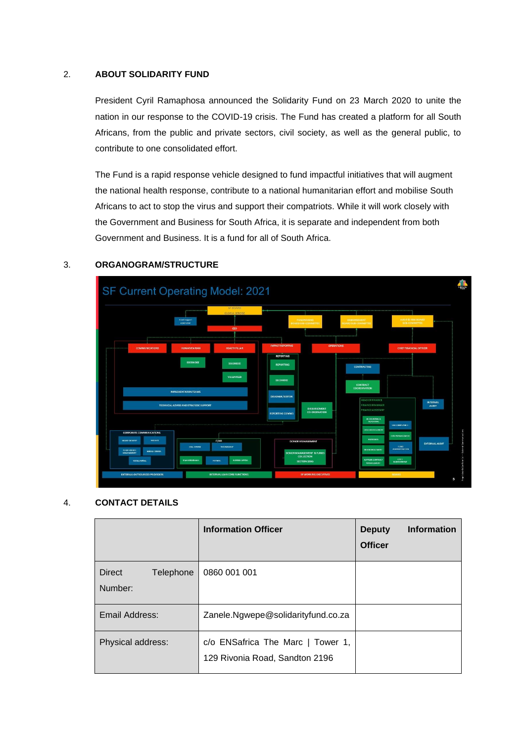#### 2. **ABOUT SOLIDARITY FUND**

President Cyril Ramaphosa announced the Solidarity Fund on 23 March 2020 to unite the nation in our response to the COVID-19 crisis. The Fund has created a platform for all South Africans, from the public and private sectors, civil society, as well as the general public, to contribute to one consolidated effort.

The Fund is a rapid response vehicle designed to fund impactful initiatives that will augment the national health response, contribute to a national humanitarian effort and mobilise South Africans to act to stop the virus and support their compatriots. While it will work closely with the Government and Business for South Africa, it is separate and independent from both Government and Business. It is a fund for all of South Africa.



#### 3. **ORGANOGRAM/STRUCTURE**

#### 4. **CONTACT DETAILS**

|                                | <b>Information Officer</b>                                          | <b>Information</b><br><b>Deputy</b><br><b>Officer</b> |
|--------------------------------|---------------------------------------------------------------------|-------------------------------------------------------|
| Direct<br>Telephone<br>Number: | 0860 001 001                                                        |                                                       |
| Email Address:                 | Zanele.Ngwepe@solidarityfund.co.za                                  |                                                       |
| Physical address:              | c/o ENSafrica The Marc   Tower 1,<br>129 Rivonia Road, Sandton 2196 |                                                       |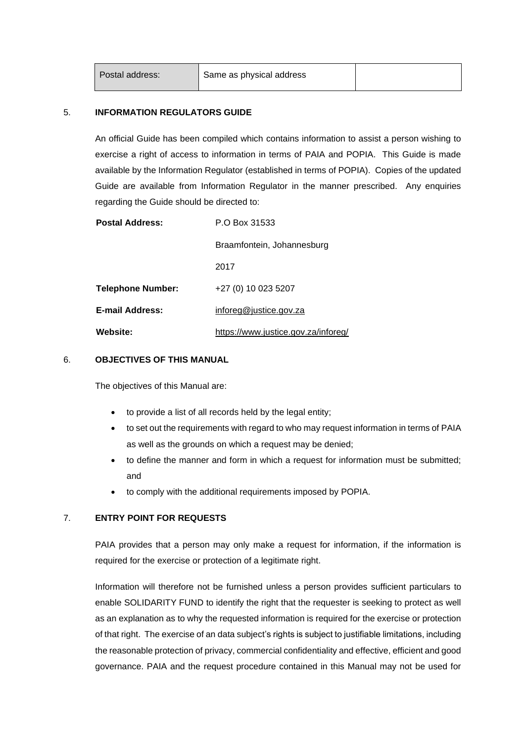| Postal address: | Same as physical address |  |
|-----------------|--------------------------|--|
|                 |                          |  |

#### 5. **INFORMATION REGULATORS GUIDE**

An official Guide has been compiled which contains information to assist a person wishing to exercise a right of access to information in terms of PAIA and POPIA. This Guide is made available by the Information Regulator (established in terms of POPIA). Copies of the updated Guide are available from Information Regulator in the manner prescribed. Any enquiries regarding the Guide should be directed to:

| <b>Postal Address:</b>   | P.O Box 31533                       |
|--------------------------|-------------------------------------|
|                          | Braamfontein, Johannesburg          |
|                          | 2017                                |
| <b>Telephone Number:</b> | +27 (0) 10 023 5207                 |
| <b>E-mail Address:</b>   | inforeg@justice.gov.za              |
| Website:                 | https://www.justice.gov.za/inforeg/ |

#### 6. **OBJECTIVES OF THIS MANUAL**

The objectives of this Manual are:

- to provide a list of all records held by the legal entity;
- to set out the requirements with regard to who may request information in terms of PAIA as well as the grounds on which a request may be denied;
- to define the manner and form in which a request for information must be submitted; and
- to comply with the additional requirements imposed by POPIA.

#### 7. **ENTRY POINT FOR REQUESTS**

PAIA provides that a person may only make a request for information, if the information is required for the exercise or protection of a legitimate right.

Information will therefore not be furnished unless a person provides sufficient particulars to enable SOLIDARITY FUND to identify the right that the requester is seeking to protect as well as an explanation as to why the requested information is required for the exercise or protection of that right. The exercise of an data subject's rights is subject to justifiable limitations, including the reasonable protection of privacy, commercial confidentiality and effective, efficient and good governance. PAIA and the request procedure contained in this Manual may not be used for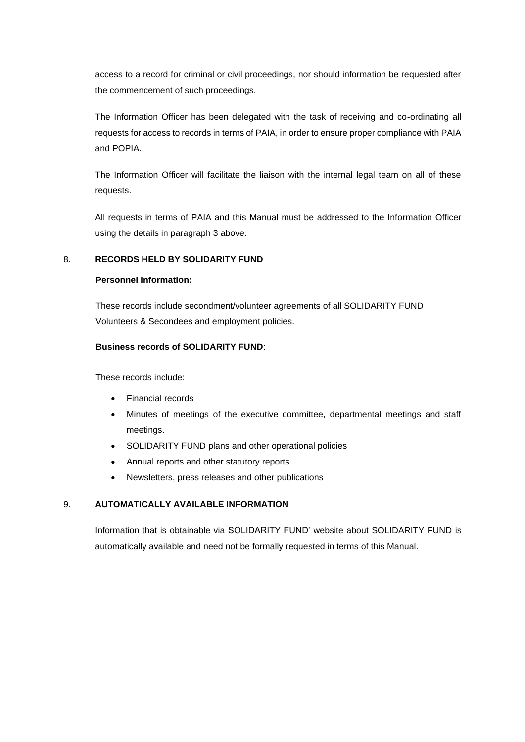access to a record for criminal or civil proceedings, nor should information be requested after the commencement of such proceedings.

The Information Officer has been delegated with the task of receiving and co-ordinating all requests for access to records in terms of PAIA, in order to ensure proper compliance with PAIA and POPIA.

The Information Officer will facilitate the liaison with the internal legal team on all of these requests.

All requests in terms of PAIA and this Manual must be addressed to the Information Officer using the details in paragraph 3 above.

#### 8. **RECORDS HELD BY SOLIDARITY FUND**

#### **Personnel Information:**

These records include secondment/volunteer agreements of all SOLIDARITY FUND Volunteers & Secondees and employment policies.

#### **Business records of SOLIDARITY FUND**:

These records include:

- Financial records
- Minutes of meetings of the executive committee, departmental meetings and staff meetings.
- SOLIDARITY FUND plans and other operational policies
- Annual reports and other statutory reports
- Newsletters, press releases and other publications

#### 9. **AUTOMATICALLY AVAILABLE INFORMATION**

Information that is obtainable via SOLIDARITY FUND' website about SOLIDARITY FUND is automatically available and need not be formally requested in terms of this Manual.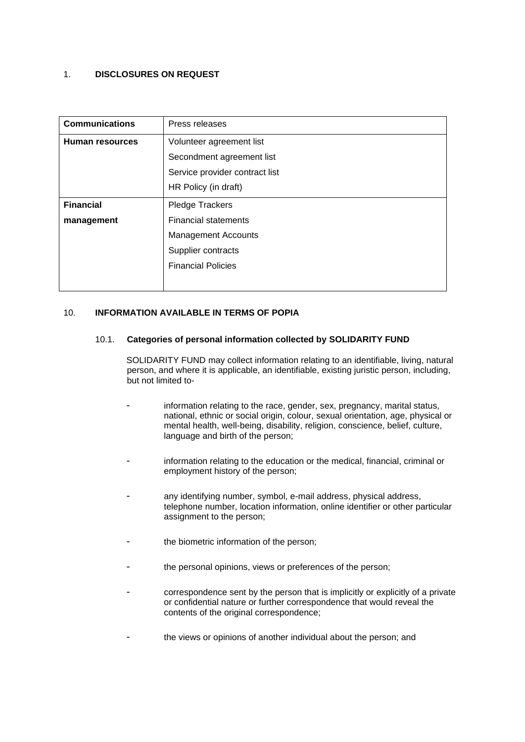#### 1. **DISCLOSURES ON REQUEST**

| <b>Communications</b>  | Press releases                 |
|------------------------|--------------------------------|
| <b>Human resources</b> | Volunteer agreement list       |
|                        | Secondment agreement list      |
|                        | Service provider contract list |
|                        | HR Policy (in draft)           |
| <b>Financial</b>       | Pledge Trackers                |
| management             | <b>Financial statements</b>    |
|                        | <b>Management Accounts</b>     |
|                        | Supplier contracts             |
|                        | <b>Financial Policies</b>      |
|                        |                                |

#### 10. **INFORMATION AVAILABLE IN TERMS OF POPIA**

#### 10.1. **Categories of personal information collected by SOLIDARITY FUND**

SOLIDARITY FUND may collect information relating to an identifiable, living, natural person, and where it is applicable, an identifiable, existing juristic person, including, but not limited to-

- information relating to the race, gender, sex, pregnancy, marital status, national, ethnic or social origin, colour, sexual orientation, age, physical or mental health, well-being, disability, religion, conscience, belief, culture, language and birth of the person;
- information relating to the education or the medical, financial, criminal or employment history of the person;
- any identifying number, symbol, e-mail address, physical address, telephone number, location information, online identifier or other particular assignment to the person;
- the biometric information of the person;
- the personal opinions, views or preferences of the person;
- correspondence sent by the person that is implicitly or explicitly of a private or confidential nature or further correspondence that would reveal the contents of the original correspondence;
- the views or opinions of another individual about the person; and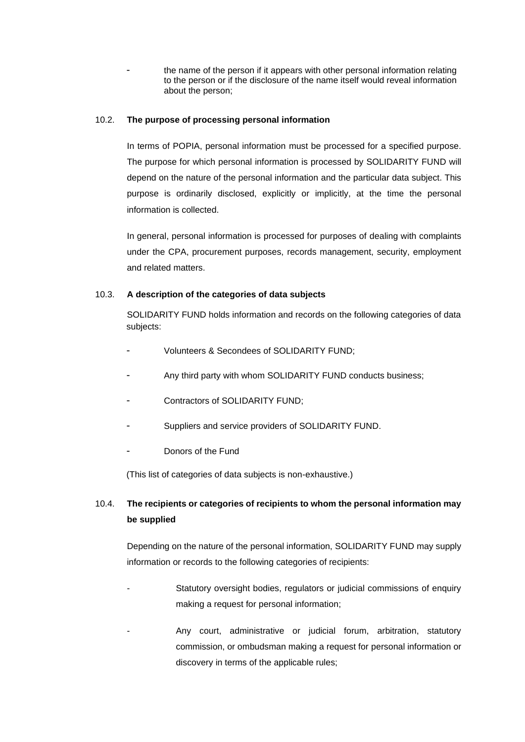the name of the person if it appears with other personal information relating to the person or if the disclosure of the name itself would reveal information about the person;

#### 10.2. **The purpose of processing personal information**

In terms of POPIA, personal information must be processed for a specified purpose. The purpose for which personal information is processed by SOLIDARITY FUND will depend on the nature of the personal information and the particular data subject. This purpose is ordinarily disclosed, explicitly or implicitly, at the time the personal information is collected.

In general, personal information is processed for purposes of dealing with complaints under the CPA, procurement purposes, records management, security, employment and related matters.

#### 10.3. **A description of the categories of data subjects**

SOLIDARITY FUND holds information and records on the following categories of data subjects:

- Volunteers & Secondees of SOLIDARITY FUND:
- Any third party with whom SOLIDARITY FUND conducts business;
- Contractors of SOLIDARITY FUND:
- Suppliers and service providers of SOLIDARITY FUND.
- Donors of the Fund

(This list of categories of data subjects is non-exhaustive.)

# 10.4. **The recipients or categories of recipients to whom the personal information may be supplied**

Depending on the nature of the personal information, SOLIDARITY FUND may supply information or records to the following categories of recipients:

- Statutory oversight bodies, regulators or judicial commissions of enquiry making a request for personal information;
- Any court, administrative or judicial forum, arbitration, statutory commission, or ombudsman making a request for personal information or discovery in terms of the applicable rules;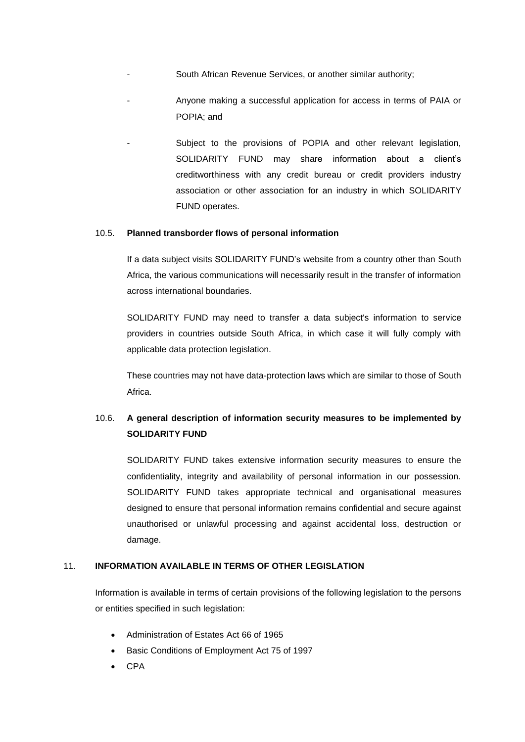- South African Revenue Services, or another similar authority;
- Anyone making a successful application for access in terms of PAIA or POPIA; and
	- Subject to the provisions of POPIA and other relevant legislation, SOLIDARITY FUND may share information about a client's creditworthiness with any credit bureau or credit providers industry association or other association for an industry in which SOLIDARITY FUND operates.

#### 10.5. **Planned transborder flows of personal information**

If a data subject visits SOLIDARITY FUND's website from a country other than South Africa, the various communications will necessarily result in the transfer of information across international boundaries.

SOLIDARITY FUND may need to transfer a data subject's information to service providers in countries outside South Africa, in which case it will fully comply with applicable data protection legislation.

These countries may not have data-protection laws which are similar to those of South Africa.

# 10.6. **A general description of information security measures to be implemented by SOLIDARITY FUND**

SOLIDARITY FUND takes extensive information security measures to ensure the confidentiality, integrity and availability of personal information in our possession. SOLIDARITY FUND takes appropriate technical and organisational measures designed to ensure that personal information remains confidential and secure against unauthorised or unlawful processing and against accidental loss, destruction or damage.

#### 11. **INFORMATION AVAILABLE IN TERMS OF OTHER LEGISLATION**

Information is available in terms of certain provisions of the following legislation to the persons or entities specified in such legislation:

- Administration of Estates Act 66 of 1965
- Basic Conditions of Employment Act 75 of 1997
- CPA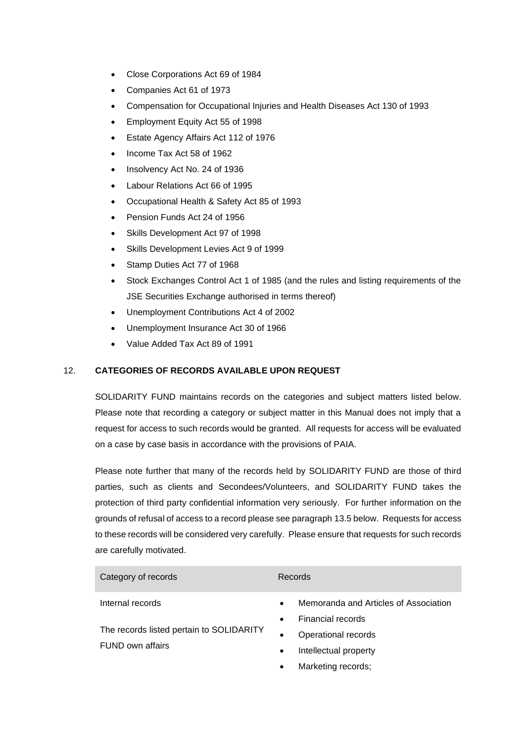- Close Corporations Act 69 of 1984
- Companies Act 61 of 1973
- Compensation for Occupational Injuries and Health Diseases Act 130 of 1993
- Employment Equity Act 55 of 1998
- Estate Agency Affairs Act 112 of 1976
- Income Tax Act 58 of 1962
- Insolvency Act No. 24 of 1936
- Labour Relations Act 66 of 1995
- Occupational Health & Safety Act 85 of 1993
- Pension Funds Act 24 of 1956
- Skills Development Act 97 of 1998
- Skills Development Levies Act 9 of 1999
- Stamp Duties Act 77 of 1968
- Stock Exchanges Control Act 1 of 1985 (and the rules and listing requirements of the JSE Securities Exchange authorised in terms thereof)
- Unemployment Contributions Act 4 of 2002
- Unemployment Insurance Act 30 of 1966
- Value Added Tax Act 89 of 1991

#### 12. **CATEGORIES OF RECORDS AVAILABLE UPON REQUEST**

SOLIDARITY FUND maintains records on the categories and subject matters listed below. Please note that recording a category or subject matter in this Manual does not imply that a request for access to such records would be granted. All requests for access will be evaluated on a case by case basis in accordance with the provisions of PAIA.

Please note further that many of the records held by SOLIDARITY FUND are those of third parties, such as clients and Secondees/Volunteers, and SOLIDARITY FUND takes the protection of third party confidential information very seriously. For further information on the grounds of refusal of access to a record please see paragraph [13.5](#page-11-0) below. Requests for access to these records will be considered very carefully. Please ensure that requests for such records are carefully motivated.

| Category of records                                          | Records                                                                                                   |
|--------------------------------------------------------------|-----------------------------------------------------------------------------------------------------------|
| Internal records                                             | Memoranda and Articles of Association<br>$\bullet$<br>Financial records<br>$\bullet$                      |
| The records listed pertain to SOLIDARITY<br>FUND own affairs | Operational records<br>$\bullet$<br>Intellectual property<br>$\bullet$<br>Marketing records:<br>$\bullet$ |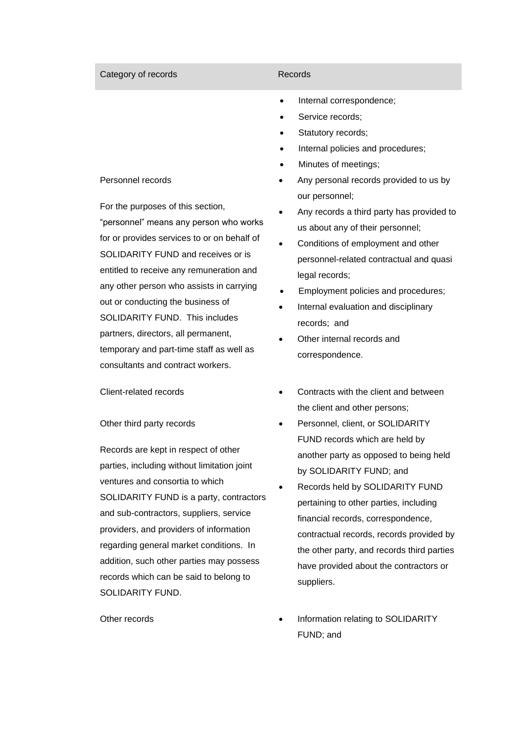# • Internal correspondence; Service records; Statutory records;

### Personnel records

For the purposes of this section, "personnel" means any person who works for or provides services to or on behalf of SOLIDARITY FUND and receives or is entitled to receive any remuneration and any other person who assists in carrying out or conducting the business of SOLIDARITY FUND. This includes partners, directors, all permanent, temporary and part-time staff as well as consultants and contract workers.

#### Other third party records

Records are kept in respect of other parties, including without limitation joint ventures and consortia to which SOLIDARITY FUND is a party, contractors and sub-contractors, suppliers, service providers, and providers of information regarding general market conditions. In addition, such other parties may possess records which can be said to belong to SOLIDARITY FUND.

#### Category of records **Records** Records

- Internal policies and procedures;
- Minutes of meetings;
- Any personal records provided to us by our personnel;
- Any records a third party has provided to us about any of their personnel;
- Conditions of employment and other personnel-related contractual and quasi legal records;
- Employment policies and procedures;
- Internal evaluation and disciplinary records; and
- Other internal records and correspondence.
- Client-related records Contracts with the client and between the client and other persons;
	- Personnel, client, or SOLIDARITY FUND records which are held by another party as opposed to being held by SOLIDARITY FUND; and
	- Records held by SOLIDARITY FUND pertaining to other parties, including financial records, correspondence, contractual records, records provided by the other party, and records third parties have provided about the contractors or suppliers.
- Other records  **Information relating to SOLIDARITY** FUND; and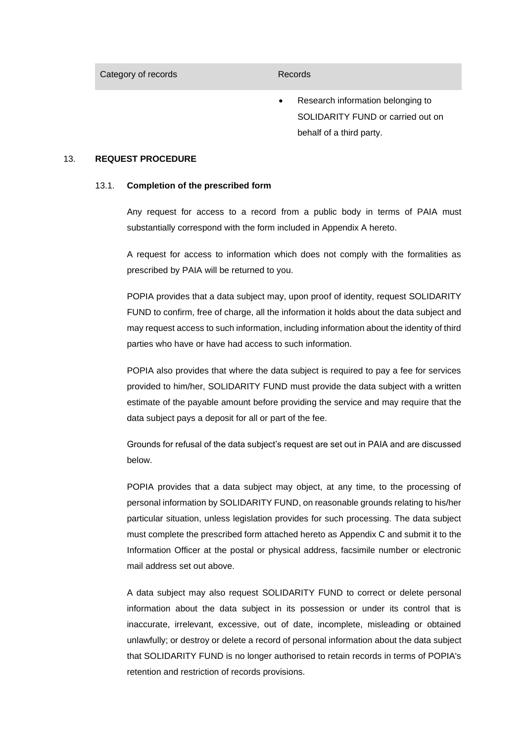Category of records **Records** Records

• Research information belonging to SOLIDARITY FUND or carried out on behalf of a third party.

#### 13. **REQUEST PROCEDURE**

#### 13.1. **Completion of the prescribed form**

Any request for access to a record from a public body in terms of PAIA must substantially correspond with the form included in Appendix A hereto.

A request for access to information which does not comply with the formalities as prescribed by PAIA will be returned to you.

POPIA provides that a data subject may, upon proof of identity, request SOLIDARITY FUND to confirm, free of charge, all the information it holds about the data subject and may request access to such information, including information about the identity of third parties who have or have had access to such information.

POPIA also provides that where the data subject is required to pay a fee for services provided to him/her, SOLIDARITY FUND must provide the data subject with a written estimate of the payable amount before providing the service and may require that the data subject pays a deposit for all or part of the fee.

Grounds for refusal of the data subject's request are set out in PAIA and are discussed below.

POPIA provides that a data subject may object, at any time, to the processing of personal information by SOLIDARITY FUND, on reasonable grounds relating to his/her particular situation, unless legislation provides for such processing. The data subject must complete the prescribed form attached hereto as Appendix C and submit it to the Information Officer at the postal or physical address, facsimile number or electronic mail address set out above.

A data subject may also request SOLIDARITY FUND to correct or delete personal information about the data subject in its possession or under its control that is inaccurate, irrelevant, excessive, out of date, incomplete, misleading or obtained unlawfully; or destroy or delete a record of personal information about the data subject that SOLIDARITY FUND is no longer authorised to retain records in terms of POPIA's retention and restriction of records provisions.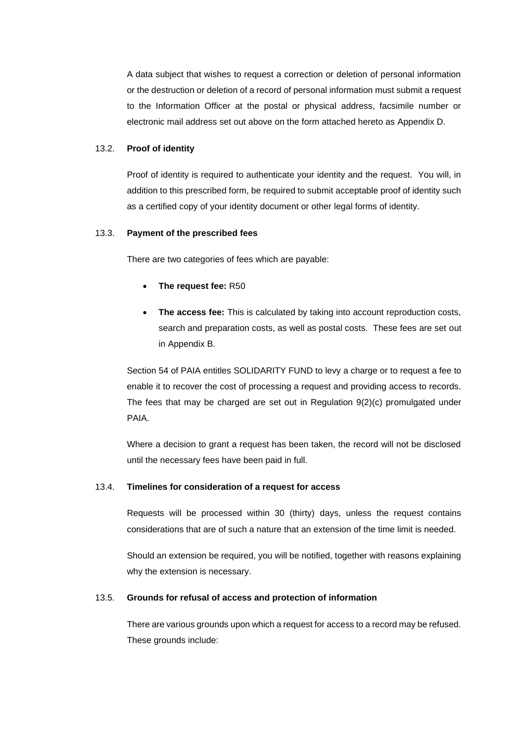A data subject that wishes to request a correction or deletion of personal information or the destruction or deletion of a record of personal information must submit a request to the Information Officer at the postal or physical address, facsimile number or electronic mail address set out above on the form attached hereto as Appendix D.

#### 13.2. **Proof of identity**

Proof of identity is required to authenticate your identity and the request. You will, in addition to this prescribed form, be required to submit acceptable proof of identity such as a certified copy of your identity document or other legal forms of identity.

#### 13.3. **Payment of the prescribed fees**

There are two categories of fees which are payable:

- **The request fee:** R50
- **The access fee:** This is calculated by taking into account reproduction costs, search and preparation costs, as well as postal costs. These fees are set out in Appendix B.

Section 54 of PAIA entitles SOLIDARITY FUND to levy a charge or to request a fee to enable it to recover the cost of processing a request and providing access to records. The fees that may be charged are set out in Regulation  $9(2)(c)$  promulgated under PAIA.

Where a decision to grant a request has been taken, the record will not be disclosed until the necessary fees have been paid in full.

#### 13.4. **Timelines for consideration of a request for access**

Requests will be processed within 30 (thirty) days, unless the request contains considerations that are of such a nature that an extension of the time limit is needed.

Should an extension be required, you will be notified, together with reasons explaining why the extension is necessary.

#### <span id="page-11-0"></span>13.5. **Grounds for refusal of access and protection of information**

There are various grounds upon which a request for access to a record may be refused. These grounds include: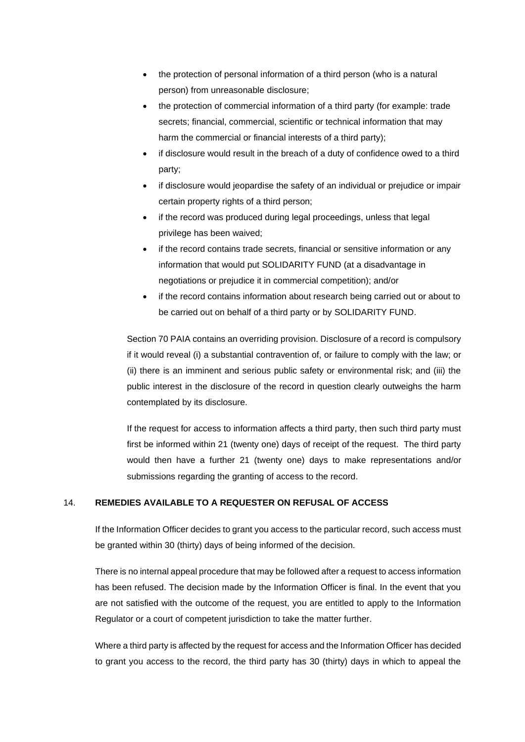- the protection of personal information of a third person (who is a natural person) from unreasonable disclosure;
- the protection of commercial information of a third party (for example: trade secrets; financial, commercial, scientific or technical information that may harm the commercial or financial interests of a third party);
- if disclosure would result in the breach of a duty of confidence owed to a third party;
- if disclosure would jeopardise the safety of an individual or prejudice or impair certain property rights of a third person;
- if the record was produced during legal proceedings, unless that legal privilege has been waived;
- if the record contains trade secrets, financial or sensitive information or any information that would put SOLIDARITY FUND (at a disadvantage in negotiations or prejudice it in commercial competition); and/or
- if the record contains information about research being carried out or about to be carried out on behalf of a third party or by SOLIDARITY FUND.

Section 70 PAIA contains an overriding provision. Disclosure of a record is compulsory if it would reveal (i) a substantial contravention of, or failure to comply with the law; or (ii) there is an imminent and serious public safety or environmental risk; and (iii) the public interest in the disclosure of the record in question clearly outweighs the harm contemplated by its disclosure.

If the request for access to information affects a third party, then such third party must first be informed within 21 (twenty one) days of receipt of the request. The third party would then have a further 21 (twenty one) days to make representations and/or submissions regarding the granting of access to the record.

#### 14. **REMEDIES AVAILABLE TO A REQUESTER ON REFUSAL OF ACCESS**

If the Information Officer decides to grant you access to the particular record, such access must be granted within 30 (thirty) days of being informed of the decision.

There is no internal appeal procedure that may be followed after a request to access information has been refused. The decision made by the Information Officer is final. In the event that you are not satisfied with the outcome of the request, you are entitled to apply to the Information Regulator or a court of competent jurisdiction to take the matter further.

Where a third party is affected by the request for access and the Information Officer has decided to grant you access to the record, the third party has 30 (thirty) days in which to appeal the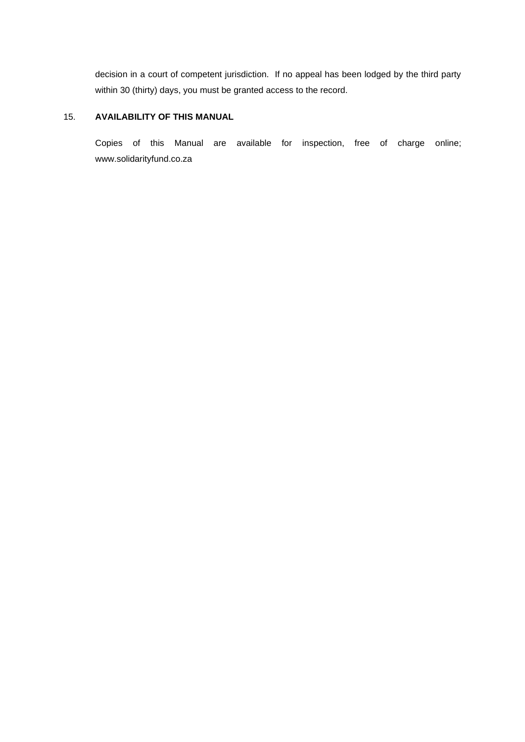decision in a court of competent jurisdiction. If no appeal has been lodged by the third party within 30 (thirty) days, you must be granted access to the record.

#### 15. **AVAILABILITY OF THIS MANUAL**

Copies of this Manual are available for inspection, free of charge online; www.solidarityfund.co.za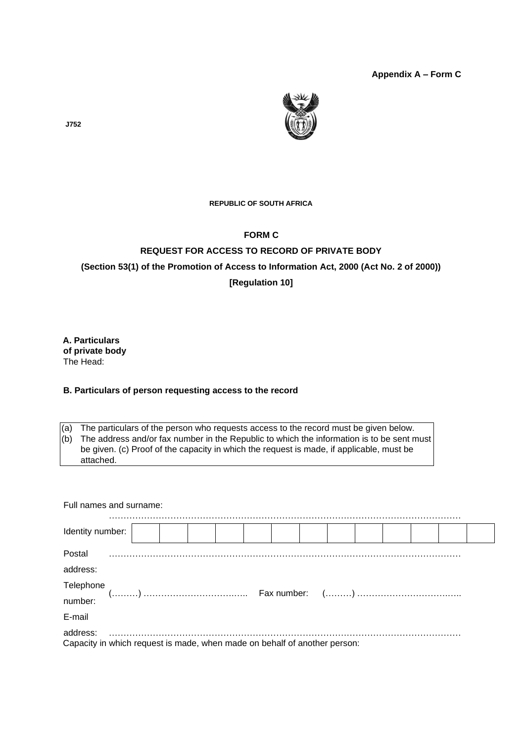**Appendix A – Form C**



**J752** 

#### **REPUBLIC OF SOUTH AFRICA**

#### **FORM C**

# **REQUEST FOR ACCESS TO RECORD OF PRIVATE BODY (Section 53(1) of the Promotion of Access to Information Act, 2000 (Act No. 2 of 2000)) [Regulation 10]**

**A. Particulars of private body**  The Head:

#### **B. Particulars of person requesting access to the record**

(a) The particulars of the person who requests access to the record must be given below. (b) The address and/or fax number in the Republic to which the information is to be sent must be given. (c) Proof of the capacity in which the request is made, if applicable, must be attached.

| Full names and surname:                                                   |  |  |  |  |  |  |  |
|---------------------------------------------------------------------------|--|--|--|--|--|--|--|
| Identity number:                                                          |  |  |  |  |  |  |  |
| Postal                                                                    |  |  |  |  |  |  |  |
| address:                                                                  |  |  |  |  |  |  |  |
|                                                                           |  |  |  |  |  |  |  |
|                                                                           |  |  |  |  |  |  |  |
| E-mail                                                                    |  |  |  |  |  |  |  |
| Capacity in which request is made, when made on behalf of another person: |  |  |  |  |  |  |  |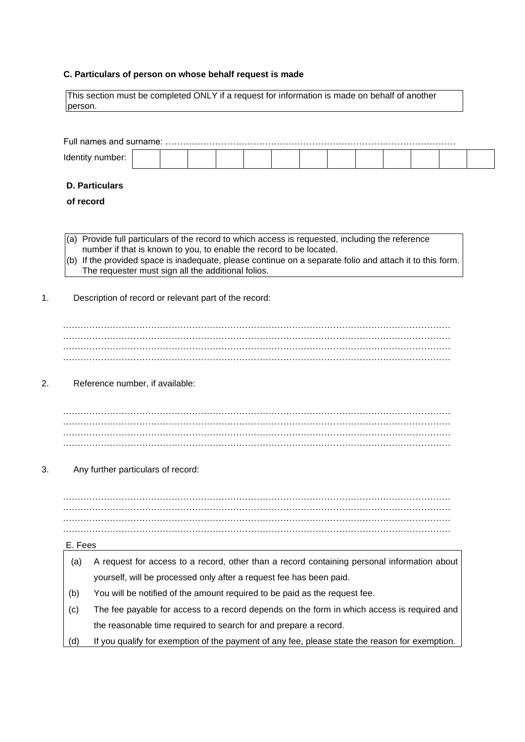#### **C. Particulars of person on whose behalf request is made**

This section must be completed ONLY if a request for information is made on behalf of another person.

| Ider |  |  |  |  |  |  |  |
|------|--|--|--|--|--|--|--|

#### **D. Particulars**

#### **of record**

- (a) Provide full particulars of the record to which access is requested, including the reference number if that is known to you, to enable the record to be located.
- (b) If the provided space is inadequate, please continue on a separate folio and attach it to this form. The requester must sign all the additional folios.
- 1. Description of record or relevant part of the record:

#### 2. Reference number, if available:

…………………………………………………………………………………………………………………… …………………………………………………………………………………………………………………… ……………………………………………………………………………………………………………………

3. Any further particulars of record:

…………………………………………………………………………………………………………………… …………………………………………………………………………………………………………………… ……………………………………………………………………………………………………………………

#### E. Fees

- (a) A request for access to a record, other than a record containing personal information about yourself, will be processed only after a request fee has been paid.
- (b) You will be notified of the amount required to be paid as the request fee.
- (c) The fee payable for access to a record depends on the form in which access is required and the reasonable time required to search for and prepare a record.
- (d) If you qualify for exemption of the payment of any fee, please state the reason for exemption.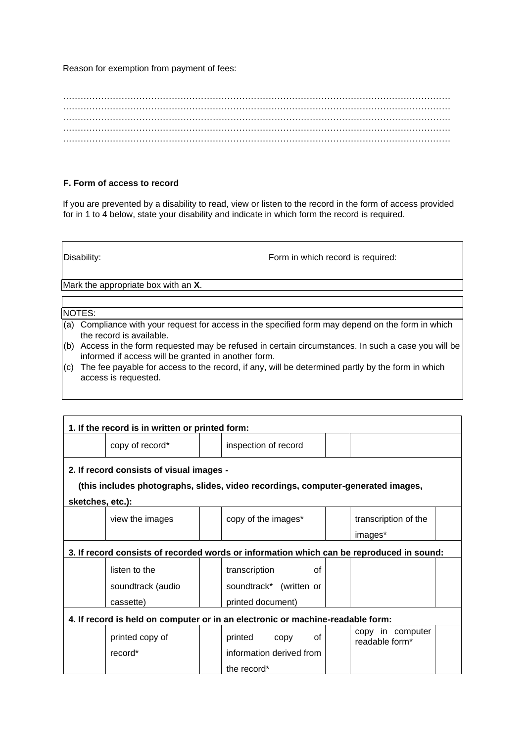Reason for exemption from payment of fees:

…………………………………………………………………………………………………………………… …………………………………………………………………………………………………………………… …………………………………………………………………………………………………………………… ……………………………………………………………………………………………………………………

#### **F. Form of access to record**

If you are prevented by a disability to read, view or listen to the record in the form of access provided for in 1 to 4 below, state your disability and indicate in which form the record is required.

Disability: Disability: Disability:

Mark the appropriate box with an **X**.

#### NOTES:

- (a) Compliance with your request for access in the specified form may depend on the form in which the record is available.
- (b) Access in the form requested may be refused in certain circumstances. In such a case you will be informed if access will be granted in another form.
- (c) The fee payable for access to the record, if any, will be determined partly by the form in which access is requested.

|                  | 1. If the record is in written or printed form:                                          |  |                          |    |  |                                    |  |  |  |  |  |  |  |  |
|------------------|------------------------------------------------------------------------------------------|--|--------------------------|----|--|------------------------------------|--|--|--|--|--|--|--|--|
|                  | copy of record*                                                                          |  | inspection of record     |    |  |                                    |  |  |  |  |  |  |  |  |
|                  | 2. If record consists of visual images -                                                 |  |                          |    |  |                                    |  |  |  |  |  |  |  |  |
|                  | (this includes photographs, slides, video recordings, computer-generated images,         |  |                          |    |  |                                    |  |  |  |  |  |  |  |  |
| sketches, etc.): |                                                                                          |  |                          |    |  |                                    |  |  |  |  |  |  |  |  |
|                  | view the images                                                                          |  | copy of the images*      |    |  | transcription of the               |  |  |  |  |  |  |  |  |
|                  |                                                                                          |  |                          |    |  | images*                            |  |  |  |  |  |  |  |  |
|                  | 3. If record consists of recorded words or information which can be reproduced in sound: |  |                          |    |  |                                    |  |  |  |  |  |  |  |  |
|                  | listen to the                                                                            |  | transcription            | Ωf |  |                                    |  |  |  |  |  |  |  |  |
|                  | soundtrack (audio                                                                        |  | soundtrack* (written or  |    |  |                                    |  |  |  |  |  |  |  |  |
|                  | cassette)                                                                                |  | printed document)        |    |  |                                    |  |  |  |  |  |  |  |  |
|                  | 4. If record is held on computer or in an electronic or machine-readable form:           |  |                          |    |  |                                    |  |  |  |  |  |  |  |  |
|                  | printed copy of                                                                          |  | printed<br>copy          | οf |  | copy in computer<br>readable form* |  |  |  |  |  |  |  |  |
|                  | record*                                                                                  |  | information derived from |    |  |                                    |  |  |  |  |  |  |  |  |
|                  |                                                                                          |  | the record*              |    |  |                                    |  |  |  |  |  |  |  |  |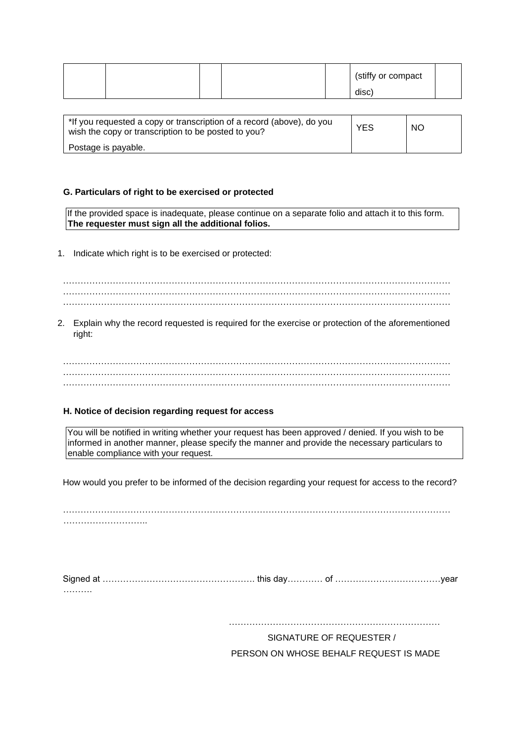|  |  | (stiffy or compact |  |
|--|--|--------------------|--|
|  |  | disc)              |  |

| *If you requested a copy or transcription of a record (above), do you<br>wish the copy or transcription to be posted to you? | <b>YES</b> | <b>NO</b> |
|------------------------------------------------------------------------------------------------------------------------------|------------|-----------|
| Postage is payable.                                                                                                          |            |           |

#### **G. Particulars of right to be exercised or protected**

If the provided space is inadequate, please continue on a separate folio and attach it to this form. **The requester must sign all the additional folios.** 

1. Indicate which right is to be exercised or protected:

…………………………………………………………………………………………………………………… …………………………………………………………………………………………………………………… ……………………………………………………………………………………………………………………

2. Explain why the record requested is required for the exercise or protection of the aforementioned right:

. The contract of the contract of the contract of the contract of the contract of the contract of the contract of the contract of the contract of the contract of the contract of the contract of the contract of the contrac ……………………………………………………………………………………………………………………

#### **H. Notice of decision regarding request for access**

You will be notified in writing whether your request has been approved / denied. If you wish to be informed in another manner, please specify the manner and provide the necessary particulars to enable compliance with your request.

How would you prefer to be informed of the decision regarding your request for access to the record?

……………………………………

Signed at ……………………………………………. this day………… of ………………………………year ……….

………………………………………………………………

SIGNATURE OF REQUESTER / PERSON ON WHOSE BEHALF REQUEST IS MADE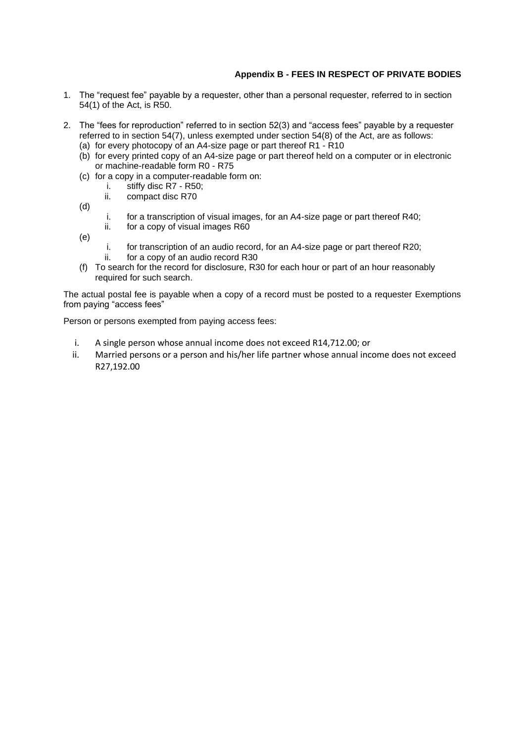#### **Appendix B - FEES IN RESPECT OF PRIVATE BODIES**

- 1. The "request fee" payable by a requester, other than a personal requester, referred to in section 54(1) of the Act, is R50.
- 2. The "fees for reproduction" referred to in section 52(3) and "access fees" payable by a requester referred to in section 54(7), unless exempted under section 54(8) of the Act, are as follows:
	- (a) for every photocopy of an A4-size page or part thereof R1 R10
	- (b) for every printed copy of an A4-size page or part thereof held on a computer or in electronic or machine-readable form R0 - R75
	- (c) for a copy in a computer-readable form on:
		- i. stiffy disc R7 R50;
		- ii. compact disc R70
	- (d)
- i. for a transcription of visual images, for an A4-size page or part thereof R40;
- ii. for a copy of visual images R60
- (e)
- i. for transcription of an audio record, for an A4-size page or part thereof R20;
- ii. for a copy of an audio record R30
- (f) To search for the record for disclosure, R30 for each hour or part of an hour reasonably required for such search.

The actual postal fee is payable when a copy of a record must be posted to a requester Exemptions from paying "access fees"

Person or persons exempted from paying access fees:

- i. A single person whose annual income does not exceed R14,712.00; or
- ii. Married persons or a person and his/her life partner whose annual income does not exceed R27,192.00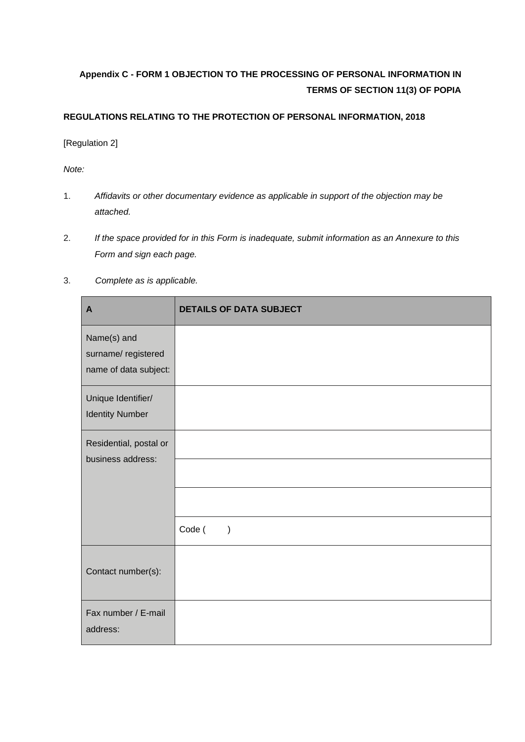# **Appendix C - FORM 1 OBJECTION TO THE PROCESSING OF PERSONAL INFORMATION IN TERMS OF SECTION 11(3) OF POPIA**

#### **REGULATIONS RELATING TO THE PROTECTION OF PERSONAL INFORMATION, 2018**

[Regulation 2]

*Note:* 

- 1. *Affidavits or other documentary evidence as applicable in support of the objection may be attached.*
- 2. *If the space provided for in this Form is inadequate, submit information as an Annexure to this Form and sign each page.*
- 3. *Complete as is applicable.*

| $\mathbf{A}$                                               | <b>DETAILS OF DATA SUBJECT</b> |
|------------------------------------------------------------|--------------------------------|
| Name(s) and<br>surname/registered<br>name of data subject: |                                |
| Unique Identifier/<br><b>Identity Number</b>               |                                |
| Residential, postal or<br>business address:                |                                |
|                                                            |                                |
|                                                            |                                |
|                                                            | Code (<br>$\mathcal{E}$        |
| Contact number(s):                                         |                                |
| Fax number / E-mail<br>address:                            |                                |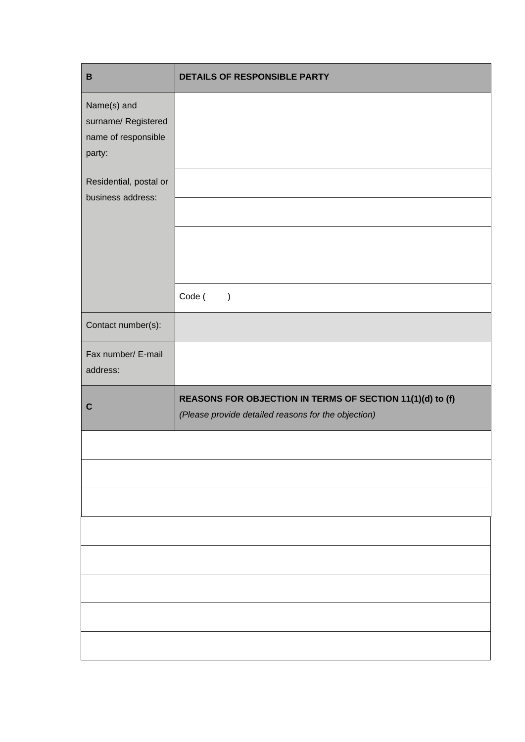| $\, {\bf B}$                                                        | DETAILS OF RESPONSIBLE PARTY                                                                                     |
|---------------------------------------------------------------------|------------------------------------------------------------------------------------------------------------------|
| Name(s) and<br>surname/ Registered<br>name of responsible<br>party: |                                                                                                                  |
| Residential, postal or<br>business address:                         |                                                                                                                  |
|                                                                     | Code (<br>$\rightarrow$                                                                                          |
| Contact number(s):                                                  |                                                                                                                  |
| Fax number/ E-mail<br>address:                                      |                                                                                                                  |
| $\mathbf C$                                                         | REASONS FOR OBJECTION IN TERMS OF SECTION 11(1)(d) to (f)<br>(Please provide detailed reasons for the objection) |
|                                                                     |                                                                                                                  |
|                                                                     |                                                                                                                  |
|                                                                     |                                                                                                                  |
|                                                                     |                                                                                                                  |
|                                                                     |                                                                                                                  |
|                                                                     |                                                                                                                  |
|                                                                     |                                                                                                                  |
|                                                                     |                                                                                                                  |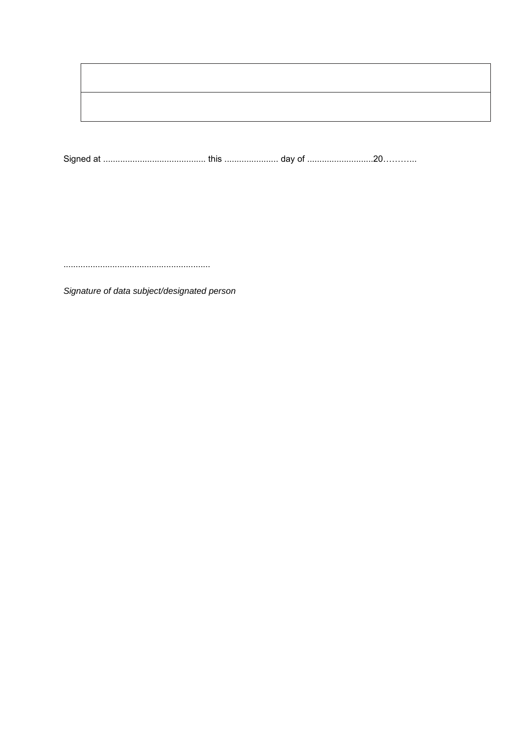Signature of data subject/designated person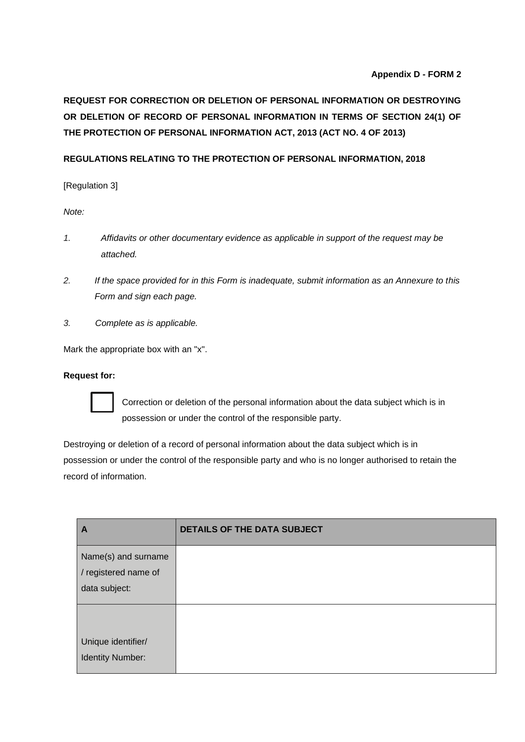#### **Appendix D - FORM 2**

# **REQUEST FOR CORRECTION OR DELETION OF PERSONAL INFORMATION OR DESTROYING OR DELETION OF RECORD OF PERSONAL INFORMATION IN TERMS OF SECTION 24(1) OF THE PROTECTION OF PERSONAL INFORMATION ACT, 2013 (ACT NO. 4 OF 2013)**

#### **REGULATIONS RELATING TO THE PROTECTION OF PERSONAL INFORMATION, 2018**

[Regulation 3]

*Note:* 

- *1. Affidavits or other documentary evidence as applicable in support of the request may be attached.*
- *2. If the space provided for in this Form is inadequate, submit information as an Annexure to this Form and sign each page.*
- *3. Complete as is applicable.*

Mark the appropriate box with an "x".

#### **Request for:**



Correction or deletion of the personal information about the data subject which is in possession or under the control of the responsible party.

Destroying or deletion of a record of personal information about the data subject which is in possession or under the control of the responsible party and who is no longer authorised to retain the record of information.

| A                                             | <b>DETAILS OF THE DATA SUBJECT</b> |
|-----------------------------------------------|------------------------------------|
| Name(s) and surname                           |                                    |
| / registered name of                          |                                    |
| data subject:                                 |                                    |
|                                               |                                    |
| Unique identifier/<br><b>Identity Number:</b> |                                    |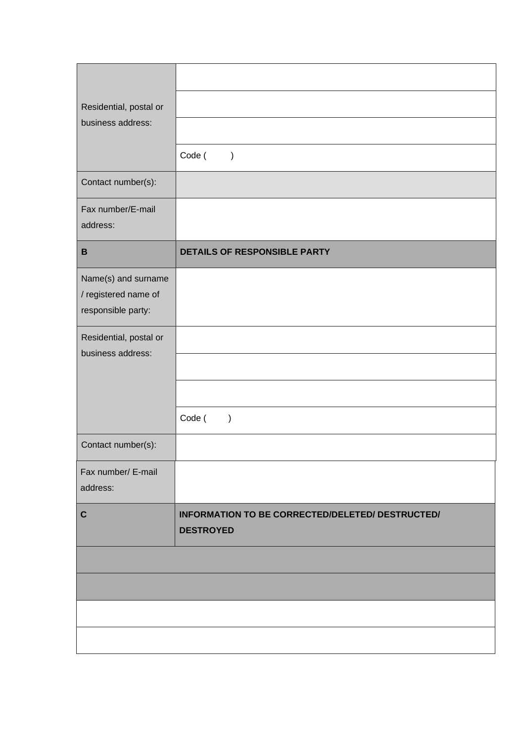| Residential, postal or                                            |                                                                      |
|-------------------------------------------------------------------|----------------------------------------------------------------------|
| business address:                                                 |                                                                      |
|                                                                   | Code (<br>$\big)$                                                    |
| Contact number(s):                                                |                                                                      |
| Fax number/E-mail<br>address:                                     |                                                                      |
| $\, {\bf B}$                                                      | DETAILS OF RESPONSIBLE PARTY                                         |
| Name(s) and surname<br>/ registered name of<br>responsible party: |                                                                      |
| Residential, postal or<br>business address:                       |                                                                      |
|                                                                   |                                                                      |
|                                                                   |                                                                      |
|                                                                   | Code (<br>$\mathcal{E}$                                              |
| Contact number(s):                                                |                                                                      |
| Fax number/ E-mail<br>address:                                    |                                                                      |
| $\mathbf C$                                                       | INFORMATION TO BE CORRECTED/DELETED/ DESTRUCTED/<br><b>DESTROYED</b> |
|                                                                   |                                                                      |
|                                                                   |                                                                      |
|                                                                   |                                                                      |
|                                                                   |                                                                      |